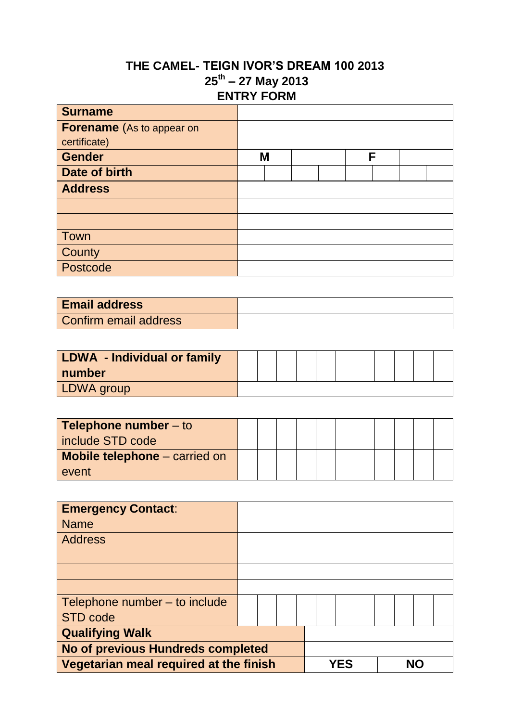## **THE CAMEL- TEIGN IVOR'S DREAM 100 2013 25th – 27 May 2013 ENTRY FORM**

| <b>Surname</b>                   |   |  |   |  |
|----------------------------------|---|--|---|--|
| <b>Forename</b> (As to appear on |   |  |   |  |
| certificate)                     |   |  |   |  |
| <b>Gender</b>                    | M |  | F |  |
| Date of birth                    |   |  |   |  |
| <b>Address</b>                   |   |  |   |  |
|                                  |   |  |   |  |
|                                  |   |  |   |  |
| Town                             |   |  |   |  |
| County                           |   |  |   |  |
| Postcode                         |   |  |   |  |

| <b>Email address</b>  |  |
|-----------------------|--|
| Confirm email address |  |

| LDWA - Individual or family |  |  |  |  |  |  |
|-----------------------------|--|--|--|--|--|--|
| number                      |  |  |  |  |  |  |
| <b>LDWA</b> group           |  |  |  |  |  |  |

| <b>Telephone number</b> $-$ to<br>include STD code |  |  |  |  |  |  |
|----------------------------------------------------|--|--|--|--|--|--|
| <b>Mobile telephone</b> – carried on<br>event      |  |  |  |  |  |  |

| <b>Emergency Contact:</b>                |  |     |  |  |
|------------------------------------------|--|-----|--|--|
| <b>Name</b>                              |  |     |  |  |
| <b>Address</b>                           |  |     |  |  |
|                                          |  |     |  |  |
|                                          |  |     |  |  |
|                                          |  |     |  |  |
| Telephone number – to include            |  |     |  |  |
| <b>STD code</b>                          |  |     |  |  |
| <b>Qualifying Walk</b>                   |  |     |  |  |
| <b>No of previous Hundreds completed</b> |  |     |  |  |
| Vegetarian meal required at the finish   |  | YES |  |  |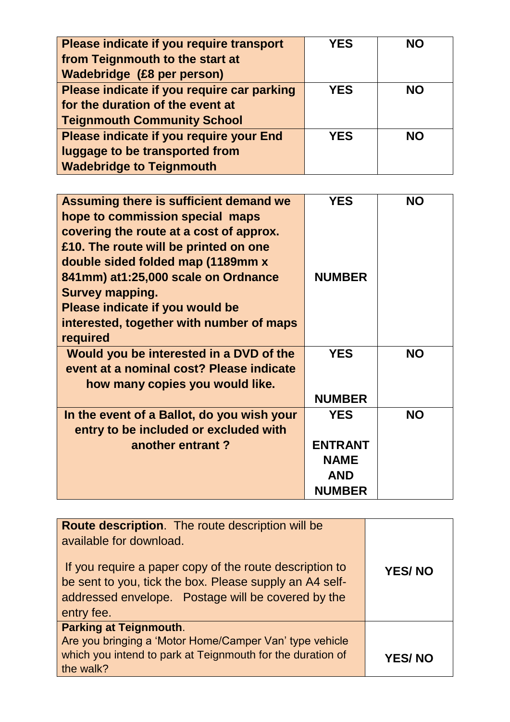| Please indicate if you require transport   | <b>YES</b> | <b>NO</b> |
|--------------------------------------------|------------|-----------|
| from Teignmouth to the start at            |            |           |
| Wadebridge (£8 per person)                 |            |           |
| Please indicate if you require car parking | <b>YES</b> | <b>NO</b> |
| for the duration of the event at           |            |           |
| <b>Teignmouth Community School</b>         |            |           |
| Please indicate if you require your End    | <b>YES</b> | <b>NO</b> |
| luggage to be transported from             |            |           |
| <b>Wadebridge to Teignmouth</b>            |            |           |

| Assuming there is sufficient demand we     | <b>YES</b>     | <b>NO</b> |
|--------------------------------------------|----------------|-----------|
|                                            |                |           |
| hope to commission special maps            |                |           |
| covering the route at a cost of approx.    |                |           |
| £10. The route will be printed on one      |                |           |
| double sided folded map (1189mm x          |                |           |
| 841mm) at1:25,000 scale on Ordnance        | <b>NUMBER</b>  |           |
| <b>Survey mapping.</b>                     |                |           |
| Please indicate if you would be            |                |           |
| interested, together with number of maps   |                |           |
| required                                   |                |           |
| Would you be interested in a DVD of the    | <b>YES</b>     | <b>NO</b> |
| event at a nominal cost? Please indicate   |                |           |
| how many copies you would like.            |                |           |
|                                            | <b>NUMBER</b>  |           |
| In the event of a Ballot, do you wish your | <b>YES</b>     | <b>NO</b> |
| entry to be included or excluded with      |                |           |
| another entrant?                           | <b>ENTRANT</b> |           |
|                                            | <b>NAME</b>    |           |
|                                            | <b>AND</b>     |           |
|                                            | <b>NUMBER</b>  |           |
|                                            |                |           |

| <b>Route description.</b> The route description will be<br>available for download.                                                                                                     |               |
|----------------------------------------------------------------------------------------------------------------------------------------------------------------------------------------|---------------|
| If you require a paper copy of the route description to<br>be sent to you, tick the box. Please supply an A4 self-<br>addressed envelope. Postage will be covered by the<br>entry fee. | <b>YES/NO</b> |
| <b>Parking at Teignmouth.</b><br>Are you bringing a 'Motor Home/Camper Van' type vehicle                                                                                               |               |
| which you intend to park at Teignmouth for the duration of<br>the walk?                                                                                                                | <b>YES/NO</b> |